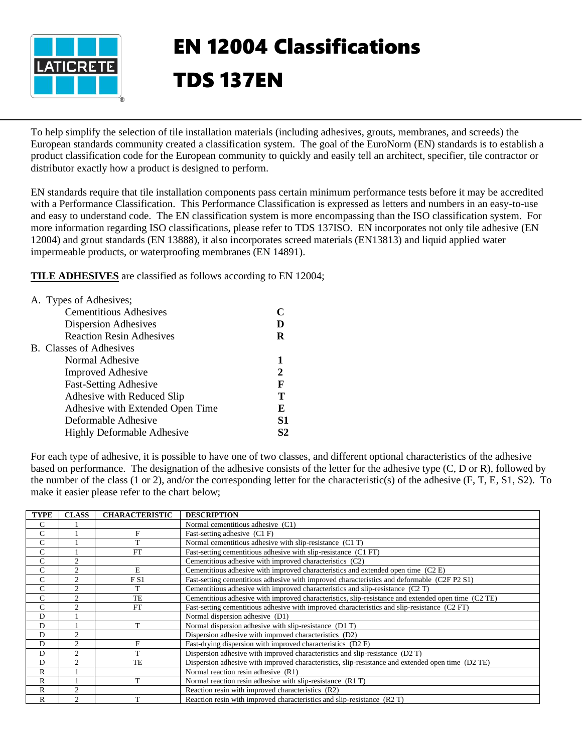

## EN 12004 Classifications TDS 137EN

To help simplify the selection of tile installation materials (including adhesives, grouts, membranes, and screeds) the European standards community created a classification system. The goal of the EuroNorm (EN) standards is to establish a product classification code for the European community to quickly and easily tell an architect, specifier, tile contractor or distributor exactly how a product is designed to perform.

EN standards require that tile installation components pass certain minimum performance tests before it may be accredited with a Performance Classification. This Performance Classification is expressed as letters and numbers in an easy-to-use and easy to understand code. The EN classification system is more encompassing than the ISO classification system. For more information regarding ISO classifications, please refer to TDS 137ISO. EN incorporates not only tile adhesive (EN 12004) and grout standards (EN 13888), it also incorporates screed materials (EN13813) and liquid applied water impermeable products, or waterproofing membranes (EN 14891).

**TILE ADHESIVES** are classified as follows according to EN 12004;

| A. Types of Adhesives;            |    |
|-----------------------------------|----|
| <b>Cementitious Adhesives</b>     |    |
| Dispersion Adhesives              |    |
| <b>Reaction Resin Adhesives</b>   | R  |
| B. Classes of Adhesives           |    |
| Normal Adhesive                   |    |
| <b>Improved Adhesive</b>          | 2  |
| <b>Fast-Setting Adhesive</b>      | F  |
| Adhesive with Reduced Slip        | т  |
| Adhesive with Extended Open Time  | E  |
| Deformable Adhesive               | S1 |
| <b>Highly Deformable Adhesive</b> | 82 |
|                                   |    |

For each type of adhesive, it is possible to have one of two classes, and different optional characteristics of the adhesive based on performance. The designation of the adhesive consists of the letter for the adhesive type (C, D or R), followed by the number of the class (1 or 2), and/or the corresponding letter for the characteristic(s) of the adhesive (F, T, E, S1, S2). To make it easier please refer to the chart below;

| <b>TYPE</b>    | <b>CLASS</b>   | <b>CHARACTERISTIC</b> | <b>DESCRIPTION</b>                                                                                  |
|----------------|----------------|-----------------------|-----------------------------------------------------------------------------------------------------|
| C              |                |                       | Normal cementitious adhesive (C1)                                                                   |
| $\overline{C}$ |                | F                     | Fast-setting adhesive (C1 F)                                                                        |
| C              |                | T                     | Normal cementitious adhesive with slip-resistance (C1 T)                                            |
| C              |                | <b>FT</b>             | Fast-setting cementitious adhesive with slip-resistance (C1 FT)                                     |
| C              | $\overline{c}$ |                       | Cementitious adhesive with improved characteristics (C2)                                            |
| C              | $\overline{c}$ | E                     | Cementitious adhesive with improved characteristics and extended open time (C2 E)                   |
| C              | $\overline{c}$ | FS1                   | Fast-setting cementitious adhesive with improved characteristics and deformable (C2F P2 S1)         |
| C              | $\overline{c}$ | T                     | Cementitious adhesive with improved characteristics and slip-resistance (C2T)                       |
| C              | $\overline{2}$ | TE                    | Cementitious adhesive with improved characteristics, slip-resistance and extended open time (C2 TE) |
| C              | $\mathfrak{D}$ | <b>FT</b>             | Fast-setting cementitious adhesive with improved characteristics and slip-resistance (C2 FT)        |
| D              |                |                       | Normal dispersion adhesive (D1)                                                                     |
| D              |                | т                     | Normal dispersion adhesive with slip-resistance (D1T)                                               |
| D              | $\overline{c}$ |                       | Dispersion adhesive with improved characteristics (D2)                                              |
| D              | $\overline{2}$ | F                     | Fast-drying dispersion with improved characteristics (D2F)                                          |
| D              | $\mathfrak{D}$ | T                     | Dispersion adhesive with improved characteristics and slip-resistance (D2T)                         |
| D              | ↑              | <b>TE</b>             | Dispersion adhesive with improved characteristics, slip-resistance and extended open time (D2 TE)   |
| $\mathbb{R}$   |                |                       | Normal reaction resin adhesive (R1)                                                                 |
| R              |                |                       | Normal reaction resin adhesive with slip-resistance (R1T)                                           |
| R              | $\overline{c}$ |                       | Reaction resin with improved characteristics (R2)                                                   |
| R              | $\overline{2}$ |                       | Reaction resin with improved characteristics and slip-resistance (R2T)                              |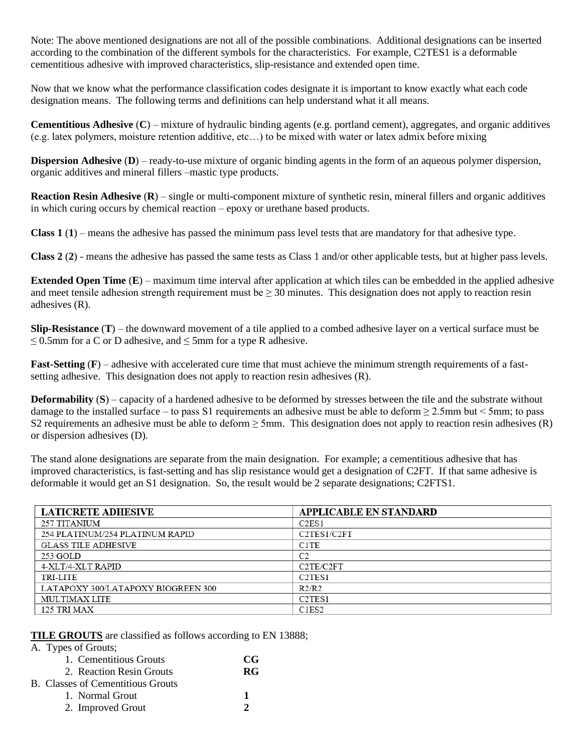Note: The above mentioned designations are not all of the possible combinations. Additional designations can be inserted according to the combination of the different symbols for the characteristics. For example, C2TES1 is a deformable cementitious adhesive with improved characteristics, slip-resistance and extended open time.

Now that we know what the performance classification codes designate it is important to know exactly what each code designation means. The following terms and definitions can help understand what it all means.

**Cementitious Adhesive** (**C**) – mixture of hydraulic binding agents (e.g. portland cement), aggregates, and organic additives (e.g. latex polymers, moisture retention additive, etc…) to be mixed with water or latex admix before mixing

**Dispersion Adhesive** (**D**) – ready-to-use mixture of organic binding agents in the form of an aqueous polymer dispersion, organic additives and mineral fillers –mastic type products.

**Reaction Resin Adhesive** (**R**) – single or multi-component mixture of synthetic resin, mineral fillers and organic additives in which curing occurs by chemical reaction – epoxy or urethane based products.

**Class 1** (**1**) – means the adhesive has passed the minimum pass level tests that are mandatory for that adhesive type.

**Class 2** (**2**) - means the adhesive has passed the same tests as Class 1 and/or other applicable tests, but at higher pass levels.

**Extended Open Time** (**E**) – maximum time interval after application at which tiles can be embedded in the applied adhesive and meet tensile adhesion strength requirement must be  $\geq 30$  minutes. This designation does not apply to reaction resin adhesives (R).

**Slip-Resistance** (**T**) – the downward movement of a tile applied to a combed adhesive layer on a vertical surface must be  $\leq$  0.5mm for a C or D adhesive, and  $\leq$  5mm for a type R adhesive.

**Fast-Setting (F)** – adhesive with accelerated cure time that must achieve the minimum strength requirements of a fastsetting adhesive. This designation does not apply to reaction resin adhesives (R).

**Deformability (S)** – capacity of a hardened adhesive to be deformed by stresses between the tile and the substrate without damage to the installed surface – to pass S1 requirements an adhesive must be able to deform  $\geq 2.5$ mm but < 5mm; to pass S2 requirements an adhesive must be able to deform  $\geq$  5mm. This designation does not apply to reaction resin adhesives (R) or dispersion adhesives (D).

The stand alone designations are separate from the main designation. For example; a cementitious adhesive that has improved characteristics, is fast-setting and has slip resistance would get a designation of C2FT. If that same adhesive is deformable it would get an S1 designation. So, the result would be 2 separate designations; C2FTS1.

| <b>LATICRETE ADHESIVE</b>          | <b>APPLICABLE EN STANDARD</b>      |
|------------------------------------|------------------------------------|
| 257 TITANIUM                       | C2ES1                              |
| 254 PLATINUM/254 PLATINUM RAPID    | C2TES1/C2FT                        |
| <b>GLASS TILE ADHESIVE</b>         | C <sub>1</sub> TE                  |
| 253 GOLD                           | C <sub>2</sub>                     |
| 4-XLT/4-XLT RAPID                  | C <sub>2</sub> TE/C <sub>2FT</sub> |
| TRI-LITE                           | C <sub>2</sub> TES <sub>1</sub>    |
| LATAPOXY 300/LATAPOXY BIOGREEN 300 | R2/R2                              |
| <b>MULTIMAX LITE</b>               | C <sub>2</sub> TE <sub>S1</sub>    |
| 125 TRI MAX                        | C <sub>1</sub> E <sub>S2</sub>     |

**TILE GROUTS** are classified as follows according to EN 13888;

A. Types of Grouts;

| 1. Cementitious Grouts                   | CG-           |
|------------------------------------------|---------------|
| 2. Reaction Resin Grouts                 | RG            |
| <b>B.</b> Classes of Cementitious Grouts |               |
| 1. Normal Grout                          | 1             |
| 2. Improved Grout                        | $\mathcal{D}$ |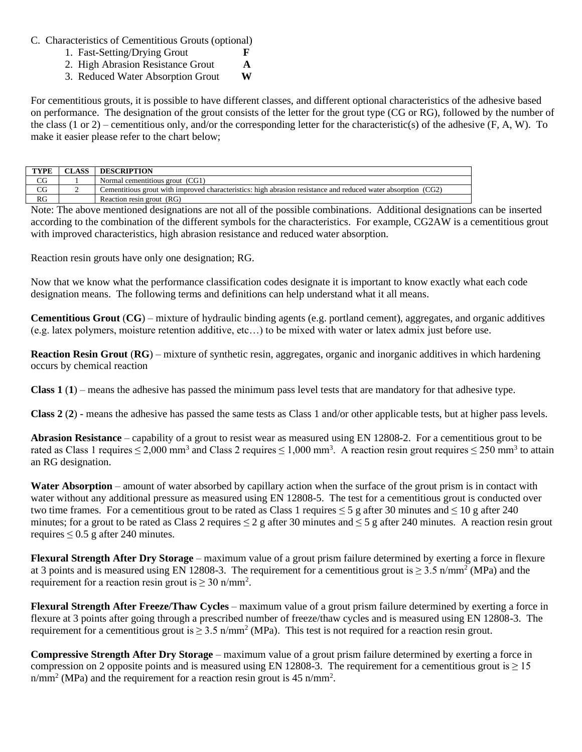C. Characteristics of Cementitious Grouts (optional)

- 1. Fast-Setting/Drying Grout **F**
- 2. High Abrasion Resistance Grout **A**
- 3. Reduced Water Absorption Grout **W**

For cementitious grouts, it is possible to have different classes, and different optional characteristics of the adhesive based on performance. The designation of the grout consists of the letter for the grout type (CG or RG), followed by the number of the class (1 or 2) – cementitious only, and/or the corresponding letter for the characteristic(s) of the adhesive  $(F, A, W)$ . To make it easier please refer to the chart below;

| <b>TYPE</b> | <b>CLASS</b> | <b>DESCRIPTION</b>                                                                                            |
|-------------|--------------|---------------------------------------------------------------------------------------------------------------|
| $_{\rm CG}$ |              | Normal cementitious grout (CG1)                                                                               |
| CG          |              | Cementitious grout with improved characteristics: high abrasion resistance and reduced water absorption (CG2) |
| RG          |              | Reaction resin grout (RG)                                                                                     |

Note: The above mentioned designations are not all of the possible combinations. Additional designations can be inserted according to the combination of the different symbols for the characteristics. For example, CG2AW is a cementitious grout with improved characteristics, high abrasion resistance and reduced water absorption.

Reaction resin grouts have only one designation; RG.

Now that we know what the performance classification codes designate it is important to know exactly what each code designation means. The following terms and definitions can help understand what it all means.

**Cementitious Grout** (**CG**) – mixture of hydraulic binding agents (e.g. portland cement), aggregates, and organic additives (e.g. latex polymers, moisture retention additive, etc…) to be mixed with water or latex admix just before use.

**Reaction Resin Grout** (**RG**) – mixture of synthetic resin, aggregates, organic and inorganic additives in which hardening occurs by chemical reaction

**Class 1** (**1**) – means the adhesive has passed the minimum pass level tests that are mandatory for that adhesive type.

**Class 2** (**2**) - means the adhesive has passed the same tests as Class 1 and/or other applicable tests, but at higher pass levels.

**Abrasion Resistance** – capability of a grout to resist wear as measured using EN 12808-2. For a cementitious grout to be rated as Class 1 requires  $\leq 2,000$  mm<sup>3</sup> and Class 2 requires  $\leq 1,000$  mm<sup>3</sup>. A reaction resin grout requires  $\leq 250$  mm<sup>3</sup> to attain an RG designation.

**Water Absorption** – amount of water absorbed by capillary action when the surface of the grout prism is in contact with water without any additional pressure as measured using EN 12808-5. The test for a cementitious grout is conducted over two time frames. For a cementitious grout to be rated as Class 1 requires  $\leq 5$  g after 30 minutes and  $\leq 10$  g after 240 minutes; for a grout to be rated as Class 2 requires  $\leq 2$  g after 30 minutes and  $\leq 5$  g after 240 minutes. A reaction resin grout requires  $\leq 0.5$  g after 240 minutes.

**Flexural Strength After Dry Storage** – maximum value of a grout prism failure determined by exerting a force in flexure at 3 points and is measured using EN 12808-3. The requirement for a cementitious grout is  $\geq 3.5$  n/mm<sup>2</sup> (MPa) and the requirement for a reaction resin grout is  $\geq 30$  n/mm<sup>2</sup>.

**Flexural Strength After Freeze/Thaw Cycles** – maximum value of a grout prism failure determined by exerting a force in flexure at 3 points after going through a prescribed number of freeze/thaw cycles and is measured using EN 12808-3. The requirement for a cementitious grout is  $\geq 3.5 \text{ n/mm}^2$  (MPa). This test is not required for a reaction resin grout.

**Compressive Strength After Dry Storage** – maximum value of a grout prism failure determined by exerting a force in compression on 2 opposite points and is measured using EN 12808-3. The requirement for a cementitious grout is  $\geq 15$ n/mm<sup>2</sup> (MPa) and the requirement for a reaction resin grout is 45 n/mm<sup>2</sup>.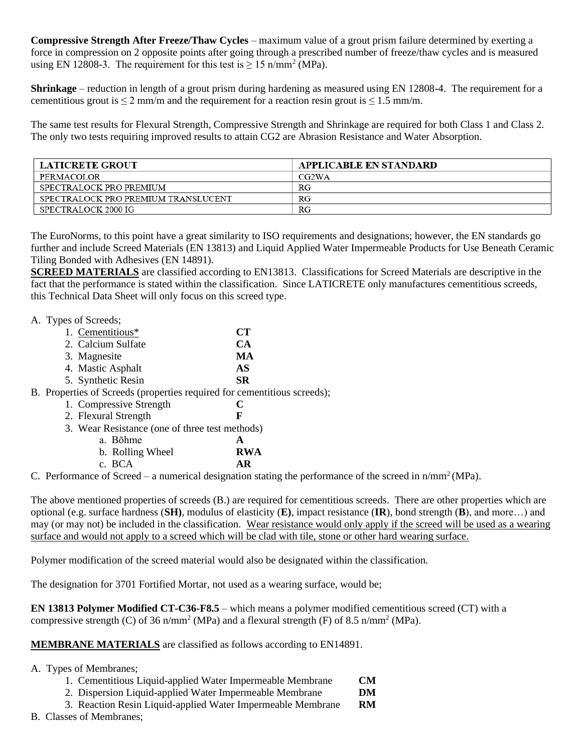**Compressive Strength After Freeze/Thaw Cycles** – maximum value of a grout prism failure determined by exerting a force in compression on 2 opposite points after going through a prescribed number of freeze/thaw cycles and is measured using EN 12808-3. The requirement for this test is  $\geq 15$  n/mm<sup>2</sup> (MPa).

**Shrinkage** – reduction in length of a grout prism during hardening as measured using EN 12808-4. The requirement for a cementitious grout is  $\leq 2$  mm/m and the requirement for a reaction resin grout is  $\leq 1.5$  mm/m.

The same test results for Flexural Strength, Compressive Strength and Shrinkage are required for both Class 1 and Class 2. The only two tests requiring improved results to attain CG2 are Abrasion Resistance and Water Absorption.

| <b>LATICRETE GROUT</b>              | APPLICABLE EN STANDARD |
|-------------------------------------|------------------------|
| PERMACOLOR                          | CG2WA                  |
| SPECTRALOCK PRO PREMIUM             | RG                     |
| SPECTRALOCK PRO PREMIUM TRANSLUCENT | RG                     |
| SPECTRALOCK 2000 IG                 | RG                     |

The EuroNorms, to this point have a great similarity to ISO requirements and designations; however, the EN standards go further and include Screed Materials (EN 13813) and Liquid Applied Water Impermeable Products for Use Beneath Ceramic Tiling Bonded with Adhesives (EN 14891).

**SCREED MATERIALS** are classified according to EN13813. Classifications for Screed Materials are descriptive in the fact that the performance is stated within the classification. Since LATICRETE only manufactures cementitious screeds, this Technical Data Sheet will only focus on this screed type.

A. Types of Screeds;

| 1. Cementitious*                                                             | CТ         |
|------------------------------------------------------------------------------|------------|
| 2. Calcium Sulfate                                                           | <b>CA</b>  |
| 3. Magnesite                                                                 | MA         |
| 4. Mastic Asphalt                                                            | AS         |
| 5. Synthetic Resin                                                           | <b>SR</b>  |
| B. Properties of Screeds (properties required for cementitious screeds);     |            |
| 1. Compressive Strength                                                      | C          |
| 2. Flexural Strength                                                         | F          |
| 3. Wear Resistance (one of three test methods)                               |            |
| a. Bōhme                                                                     | A          |
| b. Rolling Wheel                                                             | <b>RWA</b> |
| c. BCA                                                                       | AR         |
| $\Gamma$ Performance of Screed – a numerical designation stating the perform |            |

C. Performance of Screed – a numerical designation stating the performance of the screed in  $n/mm^2(MPa)$ .

The above mentioned properties of screeds (B.) are required for cementitious screeds. There are other properties which are optional (e.g. surface hardness (**SH)**, modulus of elasticity (**E)**, impact resistance (**IR**), bond strength (**B**), and more…) and may (or may not) be included in the classification. Wear resistance would only apply if the screed will be used as a wearing surface and would not apply to a screed which will be clad with tile, stone or other hard wearing surface.

Polymer modification of the screed material would also be designated within the classification.

The designation for 3701 Fortified Mortar, not used as a wearing surface, would be;

**EN 13813 Polymer Modified CT-C36-F8.5** – which means a polymer modified cementitious screed (CT) with a compressive strength (C) of 36 n/mm<sup>2</sup> (MPa) and a flexural strength (F) of 8.5 n/mm<sup>2</sup> (MPa).

**MEMBRANE MATERIALS** are classified as follows according to EN14891.

## A. Types of Membranes;

- 1. Cementitious Liquid-applied Water Impermeable Membrane **CM**
- 2. Dispersion Liquid-applied Water Impermeable Membrane **DM**
- 3. Reaction Resin Liquid-applied Water Impermeable Membrane **RM**
- B. Classes of Membranes;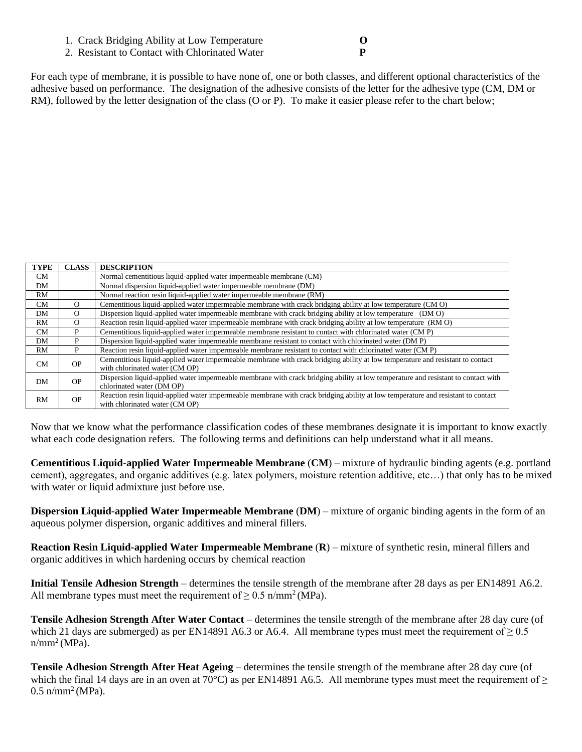- 1. Crack Bridging Ability at Low Temperature **O**
- 2. Resistant to Contact with Chlorinated Water **P**

For each type of membrane, it is possible to have none of, one or both classes, and different optional characteristics of the adhesive based on performance. The designation of the adhesive consists of the letter for the adhesive type (CM, DM or RM), followed by the letter designation of the class (O or P). To make it easier please refer to the chart below;

| <b>TYPE</b> | <b>CLASS</b> | <b>DESCRIPTION</b>                                                                                                                |
|-------------|--------------|-----------------------------------------------------------------------------------------------------------------------------------|
| CM          |              | Normal cementitious liquid-applied water impermeable membrane (CM)                                                                |
| DΜ          |              | Normal dispersion liquid-applied water impermeable membrane (DM)                                                                  |
| RM          |              | Normal reaction resin liquid-applied water impermeable membrane (RM)                                                              |
| CM          | $\Omega$     | Cementitious liquid-applied water impermeable membrane with crack bridging ability at low temperature (CMO)                       |
| DM          | $\Omega$     | Dispersion liquid-applied water impermeable membrane with crack bridging ability at low temperature (DM O)                        |
| RM          | $\Omega$     | Reaction resin liquid-applied water impermeable membrane with crack bridging ability at low temperature (RMO)                     |
| CM          | P            | Cementitious liquid-applied water impermeable membrane resistant to contact with chlorinated water (CM P)                         |
| DΜ          | P            | Dispersion liquid-applied water impermeable membrane resistant to contact with chlorinated water (DM P)                           |
| RM          | P            | Reaction resin liquid-applied water impermeable membrane resistant to contact with chlorinated water (CM P)                       |
| <b>CM</b>   | OP.          | Cementitious liquid-applied water impermeable membrane with crack bridging ability at low temperature and resistant to contact    |
|             |              | with chlorinated water (CM OP)                                                                                                    |
| DM          | OP.          | Dispersion liquid-applied water impermeable membrane with crack bridging ability at low temperature and resistant to contact with |
|             |              | chlorinated water (DM OP)                                                                                                         |
| RM          | <b>OP</b>    | Reaction resin liquid-applied water impermeable membrane with crack bridging ability at low temperature and resistant to contact  |
|             |              | with chlorinated water (CM OP)                                                                                                    |

Now that we know what the performance classification codes of these membranes designate it is important to know exactly what each code designation refers. The following terms and definitions can help understand what it all means.

**Cementitious Liquid-applied Water Impermeable Membrane** (**CM**) – mixture of hydraulic binding agents (e.g. portland cement), aggregates, and organic additives (e.g. latex polymers, moisture retention additive, etc…) that only has to be mixed with water or liquid admixture just before use.

**Dispersion Liquid-applied Water Impermeable Membrane** (**DM**) – mixture of organic binding agents in the form of an aqueous polymer dispersion, organic additives and mineral fillers.

**Reaction Resin Liquid-applied Water Impermeable Membrane** (**R**) – mixture of synthetic resin, mineral fillers and organic additives in which hardening occurs by chemical reaction

**Initial Tensile Adhesion Strength** – determines the tensile strength of the membrane after 28 days as per EN14891 A6.2. All membrane types must meet the requirement of  $\geq 0.5$  n/mm<sup>2</sup> (MPa).

**Tensile Adhesion Strength After Water Contact** – determines the tensile strength of the membrane after 28 day cure (of which 21 days are submerged) as per EN14891 A6.3 or A6.4. All membrane types must meet the requirement of  $\geq 0.5$  $n/mm^2 (MPa)$ .

**Tensile Adhesion Strength After Heat Ageing** – determines the tensile strength of the membrane after 28 day cure (of which the final 14 days are in an oven at 70°C) as per EN14891 A6.5. All membrane types must meet the requirement of  $\geq$  $0.5$  n/mm<sup>2</sup> (MPa).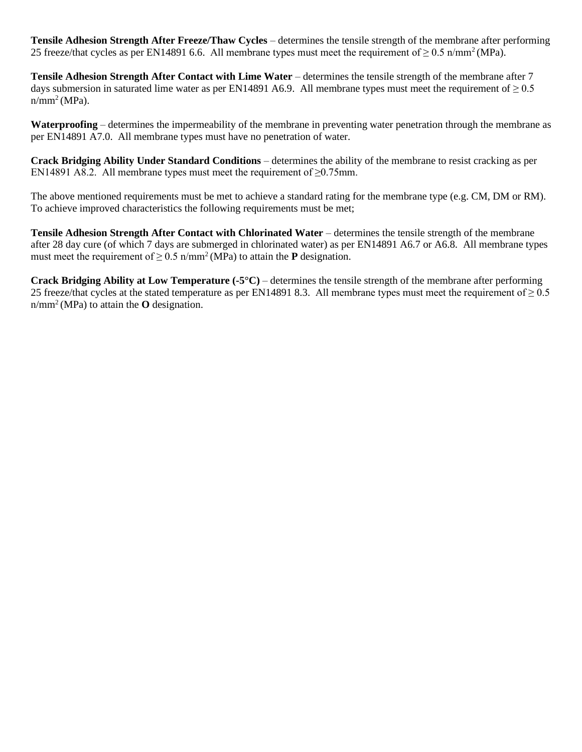**Tensile Adhesion Strength After Freeze/Thaw Cycles** – determines the tensile strength of the membrane after performing 25 freeze/that cycles as per EN14891 6.6. All membrane types must meet the requirement of  $\geq 0.5$  n/mm<sup>2</sup>(MPa).

**Tensile Adhesion Strength After Contact with Lime Water** – determines the tensile strength of the membrane after 7 days submersion in saturated lime water as per EN14891 A6.9. All membrane types must meet the requirement of  $\geq 0.5$  $n/mm^2 (MPa)$ .

**Waterproofing** – determines the impermeability of the membrane in preventing water penetration through the membrane as per EN14891 A7.0. All membrane types must have no penetration of water.

**Crack Bridging Ability Under Standard Conditions** – determines the ability of the membrane to resist cracking as per EN14891 A8.2. All membrane types must meet the requirement of  $\geq 0.75$ mm.

The above mentioned requirements must be met to achieve a standard rating for the membrane type (e.g. CM, DM or RM). To achieve improved characteristics the following requirements must be met;

**Tensile Adhesion Strength After Contact with Chlorinated Water** – determines the tensile strength of the membrane after 28 day cure (of which 7 days are submerged in chlorinated water) as per EN14891 A6.7 or A6.8. All membrane types must meet the requirement of  $\geq 0.5$  n/mm<sup>2</sup>(MPa) to attain the **P** designation.

**Crack Bridging Ability at Low Temperature (-5°C)** – determines the tensile strength of the membrane after performing 25 freeze/that cycles at the stated temperature as per EN14891 8.3. All membrane types must meet the requirement of  $\geq 0.5$ n/mm<sup>2</sup>(MPa) to attain the **O** designation.